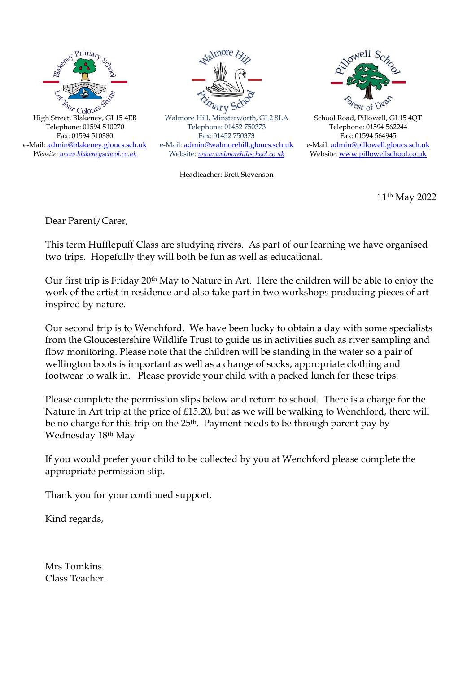



Walmore Hill, Minsterworth, GL2 8LA Telephone: 01452 750373 Fax: 01452 750373 e-Mail: [admin@walmorehill.gloucs.sch.uk](mailto:admin@walmorehill.gloucs.sch.uk) Website: *[www.walmorehillschool.co.uk](http://www.walmorehillschool.co.uk/)*

Headteacher: Brett Stevenson



School Road, Pillowell, GL15 4QT Telephone: 01594 562244 Fax: 01594 564945 e-Mail: [admin@pillowell.gloucs.sch.uk](mailto:admin@pillowell.gloucs.sch.uk) Website[: www.pillowellschool.co.uk](http://www.pillowellschool.co.uk/)

11th May 2022

Dear Parent/Carer,

This term Hufflepuff Class are studying rivers. As part of our learning we have organised two trips. Hopefully they will both be fun as well as educational.

Our first trip is Friday 20th May to Nature in Art. Here the children will be able to enjoy the work of the artist in residence and also take part in two workshops producing pieces of art inspired by nature.

Our second trip is to Wenchford. We have been lucky to obtain a day with some specialists from the Gloucestershire Wildlife Trust to guide us in activities such as river sampling and flow monitoring. Please note that the children will be standing in the water so a pair of wellington boots is important as well as a change of socks, appropriate clothing and footwear to walk in. Please provide your child with a packed lunch for these trips.

Please complete the permission slips below and return to school. There is a charge for the Nature in Art trip at the price of £15.20, but as we will be walking to Wenchford, there will be no charge for this trip on the 25<sup>th</sup>. Payment needs to be through parent pay by Wednesday 18th May

If you would prefer your child to be collected by you at Wenchford please complete the appropriate permission slip.

Thank you for your continued support,

Kind regards,

Mrs Tomkins Class Teacher.